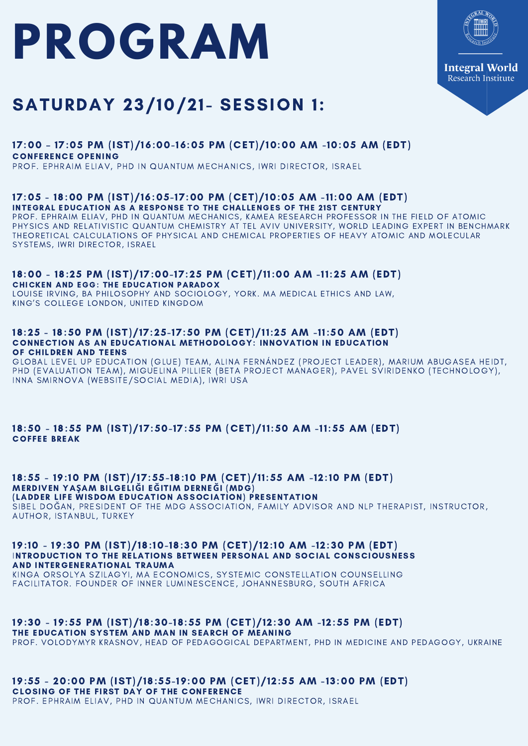## **PROGRAM**



## SATURDAY 23/10/21- SESSION 1:

#### 17:00 – 17:05 PM (IST)/16:00-16:05 PM (CET)/10:00 AM -10:05 AM (EDT) CONFERENCE OPENING

PROF. EPHRAIM ELIAV, PHD IN QUANTUM MECHANICS, IWRI DIRECTOR, ISRAEL

#### 17:05 - 18:00 PM (IST)/16:05-17:00 PM (CET)/10:05 AM -11:00 AM (EDT) INTEGRAL EDUCATION AS A RESPONSE TO THE CHALLENGES OF THE 21ST CENTURY

PROF. EPHRAIM ELIAV, PHD IN QUANTUM MECHANICS, KAMEA RESEARCH PROFESSOR IN THE FIELD OF ATOMIC PHYSICS AND RELATIVISTIC QUANTUM CHEMISTRY AT TEL AVIV UNIVERSITY, WORLD LEADING EXPERT IN BENCHMARK THEORETICAL CALCULATIONS OF PHYSICAL AND CHEMICAL PROPERTIES OF HEAVY ATOMIC AND MOLECULAR SYSTEMS, IWRI DIRECTOR, ISRAEL

#### 18:00 - 18:25 PM (IST)/17:00-17:25 PM (CET)/11:00 AM -11:25 AM (EDT) CHICKEN AND EGG: THE EDUCATION PARADOX

LOUISE IRVING, BA PHILOSOPHY AND SOCIOLOGY, YORK. MA MEDICAL ETHICS AND LAW, KING'S COLLEGE LONDON, UNITED KINGDOM

#### 18:25 - 18:50 PM (IST)/17:25-17:50 PM (CET)/11:25 AM -11:50 AM (EDT) CONNECTION AS AN EDUCATIONAL METHODOLOGY: INNOVATION IN EDUCATION OF CHILDREN AND TEENS

GLOBAL LEVEL UP EDUCATION (GLUE) TEAM, ALINA FERNÁNDEZ (PROJECT LEADER), MARIUM ABUGASEA HEIDT, PHD (EVALUATION TEAM), MIGUELINA PILLIER (BETA PROJECT MANAGER), PAVEL SVIRIDENKO (TECHNOLOGY), INNA SMIRNOVA (WEBSITE/SOCIAL MEDIA), IWRI USA

#### 18:50 - 18:55 PM (IST)/17:50-17:55 PM (CET)/11:50 AM -11:55 AM (EDT) COFFEE BREAK

#### 18:55 - 19:10 PM (IST)/17:55-18:10 PM (CET)/11:55 AM -12:10 PM (EDT) MERDIVEN YA**Ş**AM BILGELI**Ğ**I E**Ğ**ITIM DERNE**Ğ**I (MDG)

(LADDER LIFE WISDOM EDUCATION ASSOCIATION) PRESENTATION SIBEL [DO](https://www.facebook.com/ailedanismanisibel?__cft__[0]=AZXw-ldpwT_wYV2kJ-G0A6G5QTNTfjzjqqGVfGCPasyEfABgSp7_Ofguo7ee4NByBjFW8qoH4loKsTIoPCDg6vpR0Y2DSPnMxAfMpq1d8HwX7nqcu2G_nf8b9wc5S3RgEgY&__tn__=-UC%2CP-R)ĞAN, PRESIDENT OF THE MDG ASSOCIATION, FAMILY ADVISOR AND NLP THERAPIST, INSTRUCTOR, AUTHOR, ISTANBUL, TURKEY

19:10 - 19:30 PM (IST)/18:10-18:30 PM (CET)/12:10 AM -12:30 PM (EDT) INTRODUCTION TO THE RELATIONS BETWEEN PERSONAL AND SOCIAL CONSCIOUSNESS AND INTERGENERATIONAL TRAUMA

KINGA ORSOLYA SZILAGYI, MA ECONOMICS, SYSTEMIC CONSTELLATION COUNSELLING FACILITATOR. FOUNDER OF INNER LUMINESCENCE, JOHANNESBURG, SOUTH AFRICA

#### 19:30 - 19:55 PM (IST)/18:30-18:55 PM (CET)/12:30 AM -12:55 PM (EDT)

THE EDUCATION SYSTEM AND MAN IN SEARCH OF MEANING

PROF. VOLODYMYR KRASNOV, HEAD OF PEDAGOGICAL DEPARTMENT, PHD IN MEDICINE AND PEDAGOGY, UKRAINE

#### 19:55 - 20:00 PM (IST)/18:55-19:00 PM (CET)/12:55 AM -13:00 PM (EDT) CLOSING OF THE FIRST DAY OF THE CONFERENCE

PROF. EPHRAIM ELIAV, PHD IN QUANTUM MECHANICS, IWRI DIRECTOR, ISRAEL